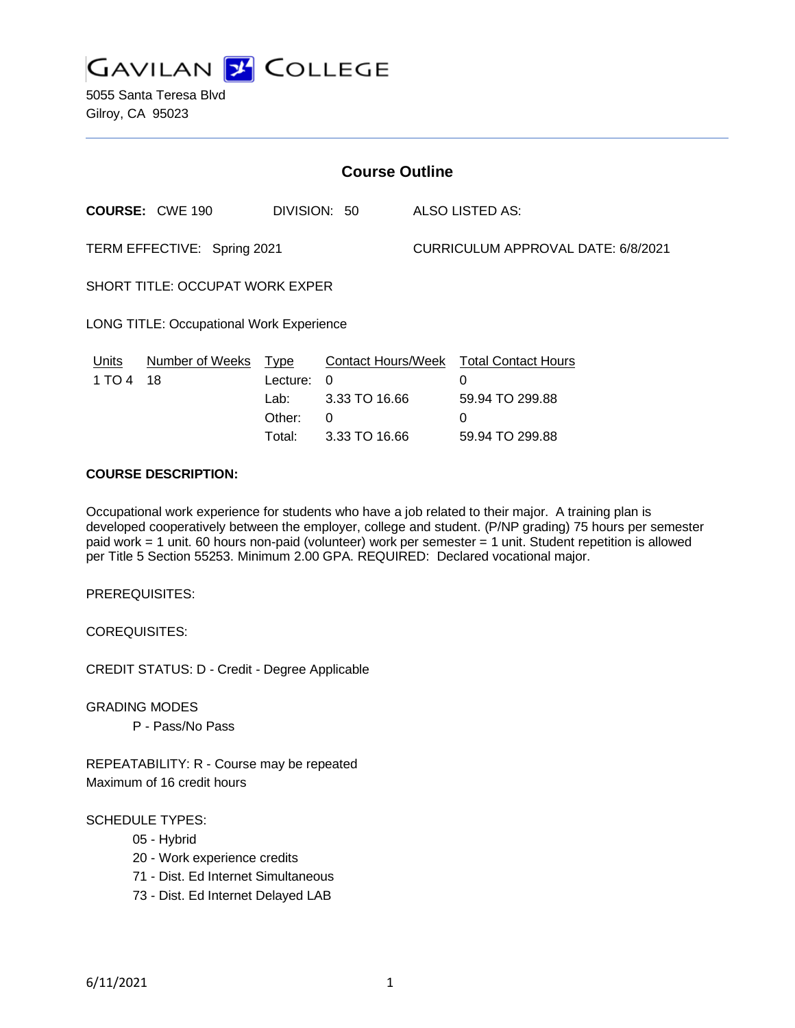

5055 Santa Teresa Blvd Gilroy, CA 95023

| <b>Course Outline</b>                           |                        |                                                     |                                                                              |                                    |                                                                            |
|-------------------------------------------------|------------------------|-----------------------------------------------------|------------------------------------------------------------------------------|------------------------------------|----------------------------------------------------------------------------|
|                                                 | <b>COURSE: CWE 190</b> |                                                     | DIVISION: 50                                                                 |                                    | ALSO LISTED AS:                                                            |
| TERM EFFECTIVE: Spring 2021                     |                        |                                                     |                                                                              | CURRICULUM APPROVAL DATE: 6/8/2021 |                                                                            |
| SHORT TITLE: OCCUPAT WORK EXPER                 |                        |                                                     |                                                                              |                                    |                                                                            |
| <b>LONG TITLE: Occupational Work Experience</b> |                        |                                                     |                                                                              |                                    |                                                                            |
| <u>Units</u><br>1 TO 4                          | Number of Weeks<br>18  | <b>Type</b><br>Lecture:<br>Lab:<br>Other:<br>Total: | <b>Contact Hours/Week</b><br>$\Omega$<br>3.33 TO 16.66<br>0<br>3.33 TO 16.66 |                                    | <b>Total Contact Hours</b><br>0<br>59.94 TO 299.88<br>0<br>59.94 TO 299.88 |
|                                                 |                        |                                                     |                                                                              |                                    |                                                                            |

## **COURSE DESCRIPTION:**

Occupational work experience for students who have a job related to their major. A training plan is developed cooperatively between the employer, college and student. (P/NP grading) 75 hours per semester paid work = 1 unit. 60 hours non-paid (volunteer) work per semester = 1 unit. Student repetition is allowed per Title 5 Section 55253. Minimum 2.00 GPA. REQUIRED: Declared vocational major.

PREREQUISITES:

COREQUISITES:

CREDIT STATUS: D - Credit - Degree Applicable

GRADING MODES

P - Pass/No Pass

REPEATABILITY: R - Course may be repeated Maximum of 16 credit hours

#### SCHEDULE TYPES:

- 05 Hybrid
- 20 Work experience credits
- 71 Dist. Ed Internet Simultaneous
- 73 Dist. Ed Internet Delayed LAB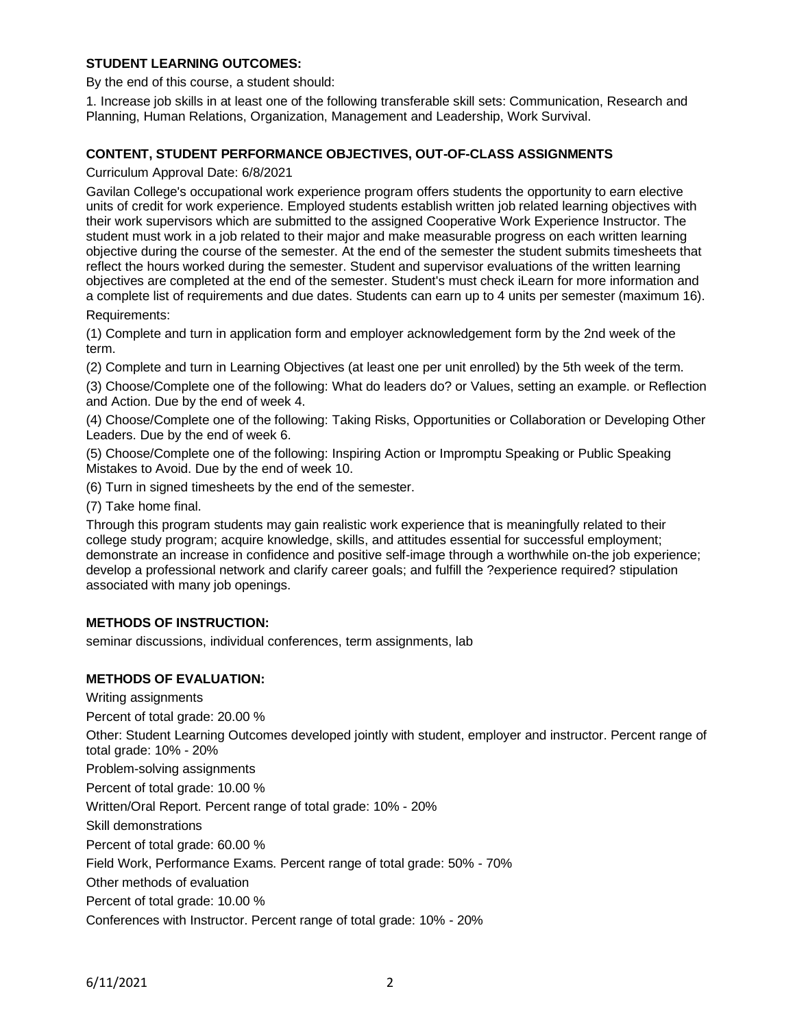## **STUDENT LEARNING OUTCOMES:**

By the end of this course, a student should:

1. Increase job skills in at least one of the following transferable skill sets: Communication, Research and Planning, Human Relations, Organization, Management and Leadership, Work Survival.

### **CONTENT, STUDENT PERFORMANCE OBJECTIVES, OUT-OF-CLASS ASSIGNMENTS**

Curriculum Approval Date: 6/8/2021

Gavilan College's occupational work experience program offers students the opportunity to earn elective units of credit for work experience. Employed students establish written job related learning objectives with their work supervisors which are submitted to the assigned Cooperative Work Experience Instructor. The student must work in a job related to their major and make measurable progress on each written learning objective during the course of the semester. At the end of the semester the student submits timesheets that reflect the hours worked during the semester. Student and supervisor evaluations of the written learning objectives are completed at the end of the semester. Student's must check iLearn for more information and a complete list of requirements and due dates. Students can earn up to 4 units per semester (maximum 16). Requirements:

(1) Complete and turn in application form and employer acknowledgement form by the 2nd week of the term.

(2) Complete and turn in Learning Objectives (at least one per unit enrolled) by the 5th week of the term.

(3) Choose/Complete one of the following: What do leaders do? or Values, setting an example. or Reflection and Action. Due by the end of week 4.

(4) Choose/Complete one of the following: Taking Risks, Opportunities or Collaboration or Developing Other Leaders. Due by the end of week 6.

(5) Choose/Complete one of the following: Inspiring Action or Impromptu Speaking or Public Speaking Mistakes to Avoid. Due by the end of week 10.

(6) Turn in signed timesheets by the end of the semester.

(7) Take home final.

Through this program students may gain realistic work experience that is meaningfully related to their college study program; acquire knowledge, skills, and attitudes essential for successful employment; demonstrate an increase in confidence and positive self-image through a worthwhile on-the job experience; develop a professional network and clarify career goals; and fulfill the ?experience required? stipulation associated with many job openings.

#### **METHODS OF INSTRUCTION:**

seminar discussions, individual conferences, term assignments, lab

## **METHODS OF EVALUATION:**

Writing assignments

Percent of total grade: 20.00 %

Other: Student Learning Outcomes developed jointly with student, employer and instructor. Percent range of total grade: 10% - 20%

Problem-solving assignments

Percent of total grade: 10.00 %

Written/Oral Report. Percent range of total grade: 10% - 20%

Skill demonstrations

Percent of total grade: 60.00 %

Field Work, Performance Exams. Percent range of total grade: 50% - 70%

Other methods of evaluation

Percent of total grade: 10.00 %

Conferences with Instructor. Percent range of total grade: 10% - 20%